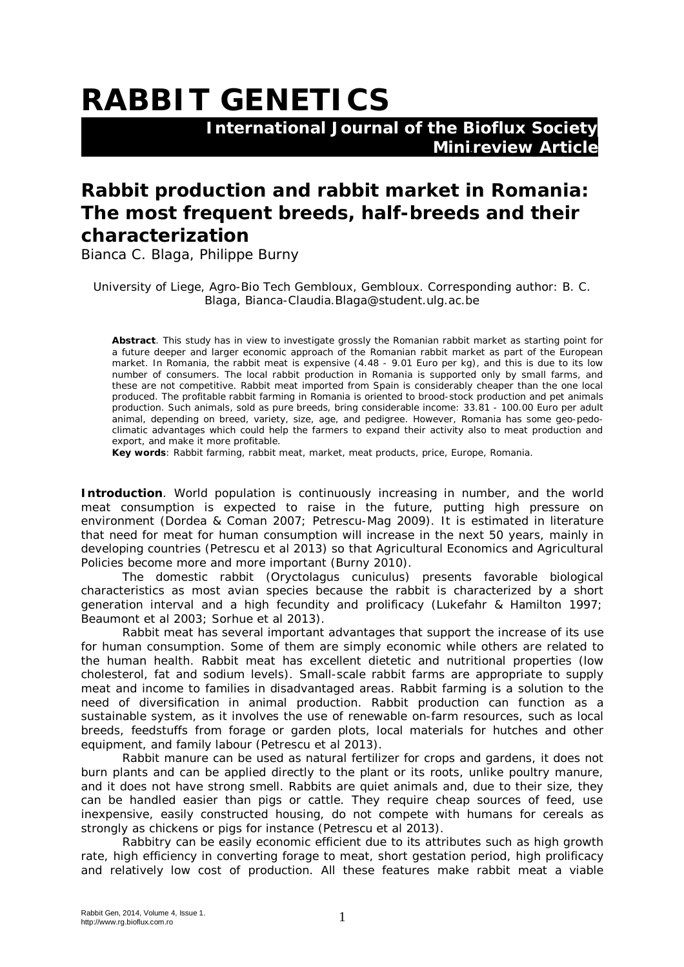## **RABBIT GENETICS**

 **International Journal of the Bioflux Society Mini-review Article** 

## **Rabbit production and rabbit market in Romania: The most frequent breeds, half-breeds and their characterization**

Bianca C. Blaga, Philippe Burny

University of Liege, Agro-Bio Tech Gembloux, Gembloux. Corresponding author: B. C. Blaga, Bianca-Claudia.Blaga@student.ulg.ac.be

**Abstract**. This study has in view to investigate grossly the Romanian rabbit market as starting point for a future deeper and larger economic approach of the Romanian rabbit market as part of the European market. In Romania, the rabbit meat is expensive (4.48 - 9.01 Euro per kg), and this is due to its low number of consumers. The local rabbit production in Romania is supported only by small farms, and these are not competitive. Rabbit meat imported from Spain is considerably cheaper than the one local produced. The profitable rabbit farming in Romania is oriented to brood-stock production and pet animals production. Such animals, sold as pure breeds, bring considerable income: 33.81 - 100.00 Euro per adult animal, depending on breed, variety, size, age, and pedigree. However, Romania has some geo-pedoclimatic advantages which could help the farmers to expand their activity also to meat production and export, and make it more profitable.

**Key words**: Rabbit farming, rabbit meat, market, meat products, price, Europe, Romania.

**Introduction**. World population is continuously increasing in number, and the world meat consumption is expected to raise in the future, putting high pressure on environment (Dordea & Coman 2007; Petrescu-Mag 2009). It is estimated in literature that need for meat for human consumption will increase in the next 50 years, mainly in developing countries (Petrescu et al 2013) so that Agricultural Economics and Agricultural Policies become more and more important (Burny 2010).

The domestic rabbit (*Oryctolagus cuniculus*) presents favorable biological characteristics as most avian species because the rabbit is characterized by a short generation interval and a high fecundity and prolificacy (Lukefahr & Hamilton 1997; Beaumont et al 2003; Sorhue et al 2013).

Rabbit meat has several important advantages that support the increase of its use for human consumption. Some of them are simply economic while others are related to the human health. Rabbit meat has excellent dietetic and nutritional properties (low cholesterol, fat and sodium levels). Small-scale rabbit farms are appropriate to supply meat and income to families in disadvantaged areas. Rabbit farming is a solution to the need of diversification in animal production. Rabbit production can function as a sustainable system, as it involves the use of renewable on-farm resources, such as local breeds, feedstuffs from forage or garden plots, local materials for hutches and other equipment, and family labour (Petrescu et al 2013).

Rabbit manure can be used as natural fertilizer for crops and gardens, it does not burn plants and can be applied directly to the plant or its roots, unlike poultry manure, and it does not have strong smell. Rabbits are quiet animals and, due to their size, they can be handled easier than pigs or cattle. They require cheap sources of feed, use inexpensive, easily constructed housing, do not compete with humans for cereals as strongly as chickens or pigs for instance (Petrescu et al 2013).

Rabbitry can be easily economic efficient due to its attributes such as high growth rate, high efficiency in converting forage to meat, short gestation period, high prolificacy and relatively low cost of production. All these features make rabbit meat a viable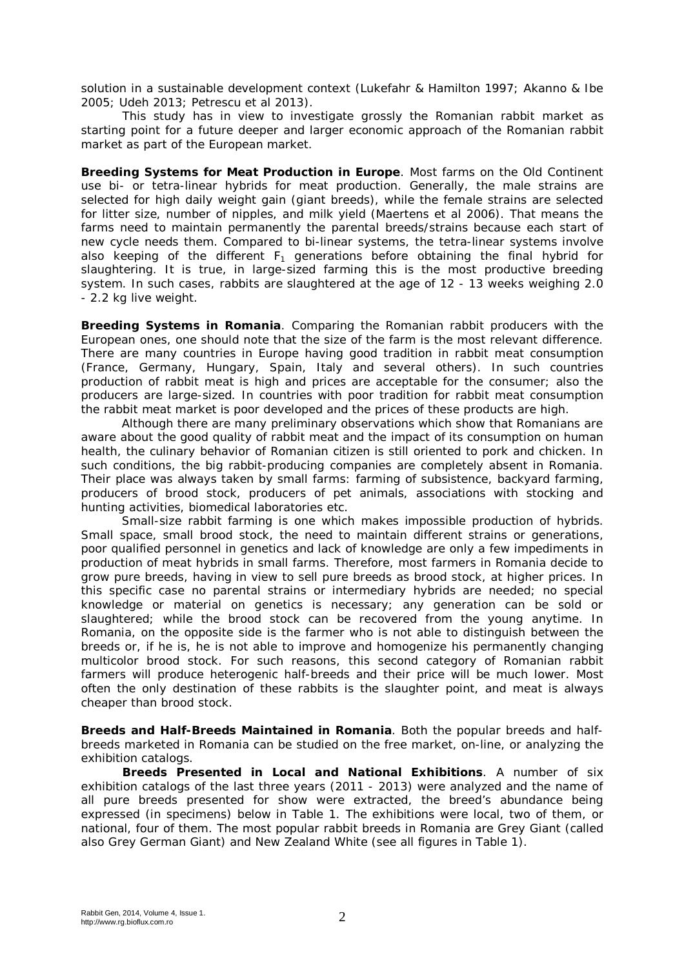solution in a sustainable development context (Lukefahr & Hamilton 1997; Akanno & Ibe 2005; Udeh 2013; Petrescu et al 2013).

This study has in view to investigate grossly the Romanian rabbit market as starting point for a future deeper and larger economic approach of the Romanian rabbit market as part of the European market.

**Breeding Systems for Meat Production in Europe**. Most farms on the Old Continent use bi- or tetra-linear hybrids for meat production. Generally, the male strains are selected for high daily weight gain (giant breeds), while the female strains are selected for litter size, number of nipples, and milk yield (Maertens et al 2006). That means the farms need to maintain permanently the parental breeds/strains because each start of new cycle needs them. Compared to bi-linear systems, the tetra-linear systems involve also keeping of the different  $F_1$  generations before obtaining the final hybrid for slaughtering. It is true, in large-sized farming this is the most productive breeding system. In such cases, rabbits are slaughtered at the age of 12 - 13 weeks weighing 2.0 - 2.2 kg live weight.

**Breeding Systems in Romania**. Comparing the Romanian rabbit producers with the European ones, one should note that the size of the farm is the most relevant difference. There are many countries in Europe having good tradition in rabbit meat consumption (France, Germany, Hungary, Spain, Italy and several others). In such countries production of rabbit meat is high and prices are acceptable for the consumer; also the producers are large-sized. In countries with poor tradition for rabbit meat consumption the rabbit meat market is poor developed and the prices of these products are high.

Although there are many preliminary observations which show that Romanians are aware about the good quality of rabbit meat and the impact of its consumption on human health, the culinary behavior of Romanian citizen is still oriented to pork and chicken. In such conditions, the big rabbit-producing companies are completely absent in Romania. Their place was always taken by small farms: farming of subsistence, backyard farming, producers of brood stock, producers of pet animals, associations with stocking and hunting activities, biomedical laboratories etc.

Small-size rabbit farming is one which makes impossible production of hybrids. Small space, small brood stock, the need to maintain different strains or generations, poor qualified personnel in genetics and lack of knowledge are only a few impediments in production of meat hybrids in small farms. Therefore, most farmers in Romania decide to grow pure breeds, having in view to sell pure breeds as brood stock, at higher prices. In this specific case no parental strains or intermediary hybrids are needed; no special knowledge or material on genetics is necessary; any generation can be sold or slaughtered; while the brood stock can be recovered from the young anytime. In Romania, on the opposite side is the farmer who is not able to distinguish between the breeds or, if he is, he is not able to improve and homogenize his permanently changing multicolor brood stock. For such reasons, this second category of Romanian rabbit farmers will produce heterogenic half-breeds and their price will be much lower. Most often the only destination of these rabbits is the slaughter point, and meat is always cheaper than brood stock.

**Breeds and Half-Breeds Maintained in Romania**. Both the popular breeds and halfbreeds marketed in Romania can be studied on the free market, on-line, or analyzing the exhibition catalogs.

**Breeds Presented in Local and National Exhibitions**. A number of six exhibition catalogs of the last three years (2011 - 2013) were analyzed and the name of all pure breeds presented for show were extracted, the breed's abundance being expressed (in specimens) below in Table 1. The exhibitions were local, two of them, or national, four of them. The most popular rabbit breeds in Romania are Grey Giant (called also Grey German Giant) and New Zealand White (see all figures in Table 1).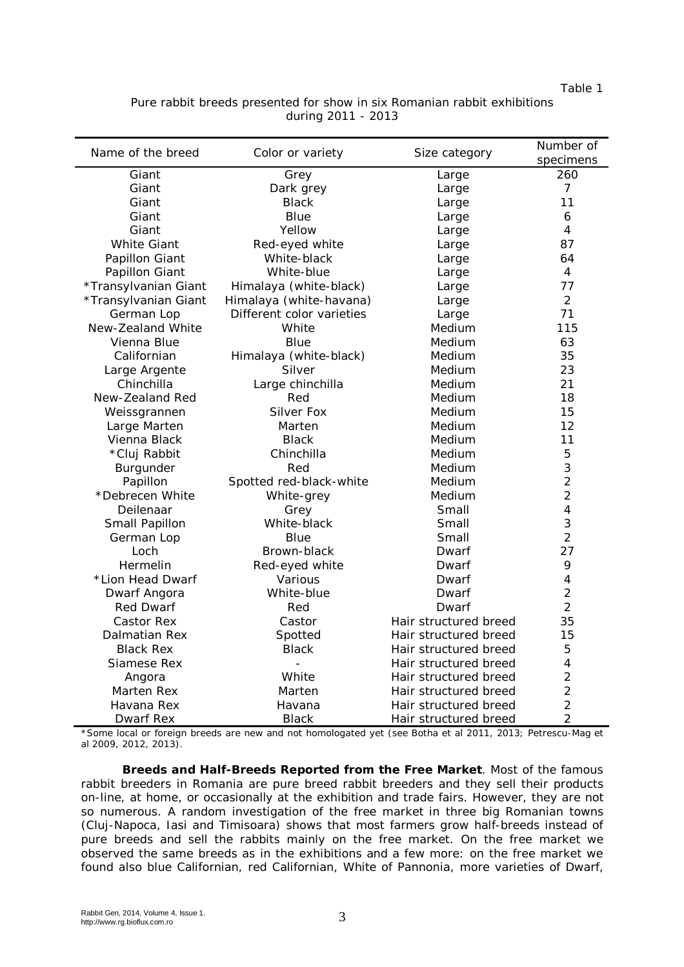Table 1

|                    | Pure rabbit breeds presented for show in six Romanian rabbit exhibitions |  |  |  |  |  |  |  |
|--------------------|--------------------------------------------------------------------------|--|--|--|--|--|--|--|
| during 2011 - 2013 |                                                                          |  |  |  |  |  |  |  |

| Name of the breed    | Color or variety          |                       | Number of                |
|----------------------|---------------------------|-----------------------|--------------------------|
|                      |                           | Size category         | specimens                |
| Giant                | Grey                      | Large                 | 260                      |
| Giant                | Dark grey                 | Large                 | 7                        |
| Giant                | <b>Black</b>              | Large                 | 11                       |
| Giant                | Blue                      | Large                 | 6                        |
| Giant                | Yellow                    | Large                 | $\overline{4}$           |
| <b>White Giant</b>   | Red-eyed white            | Large                 | 87                       |
| Papillon Giant       | White-black               | Large                 | 64                       |
| Papillon Giant       | White-blue                | Large                 | 4                        |
| *Transylvanian Giant | Himalaya (white-black)    | Large                 | 77                       |
| *Transylvanian Giant | Himalaya (white-havana)   | Large                 | $\overline{2}$           |
| German Lop           | Different color varieties | Large                 | 71                       |
| New-Zealand White    | White                     | Medium                | 115                      |
| Vienna Blue          | Blue                      | Medium                | 63                       |
| Californian          | Himalaya (white-black)    | Medium                | 35                       |
| Large Argente        | Silver                    | Medium                | 23                       |
| Chinchilla           | Large chinchilla          | Medium                | 21                       |
| New-Zealand Red      | Red                       | Medium                | 18                       |
| Weissgrannen         | <b>Silver Fox</b>         | Medium                | 15                       |
| Large Marten         | Marten                    | Medium                | 12                       |
| Vienna Black         | <b>Black</b>              | Medium                | 11                       |
| *Cluj Rabbit         | Chinchilla                | Medium                | 5                        |
| Burgunder            | Red                       | Medium                | 3                        |
| Papillon             | Spotted red-black-white   | Medium                | $\overline{2}$           |
| *Debrecen White      | White-grey                | Medium                | $\overline{2}$           |
| Deilenaar            | Grey                      | Small                 | $\overline{\mathcal{A}}$ |
| Small Papillon       | White-black               | Small                 | 3                        |
| German Lop           | <b>Blue</b>               | Small                 | $\overline{2}$           |
| Loch                 | Brown-black               | Dwarf                 | 27                       |
| Hermelin             | Red-eyed white            | Dwarf                 | 9                        |
| *Lion Head Dwarf     | Various                   | Dwarf                 | 4                        |
| Dwarf Angora         | White-blue                | Dwarf                 | $\overline{2}$           |
| <b>Red Dwarf</b>     | Red                       | Dwarf                 | $\overline{2}$           |
| Castor Rex           | Castor                    | Hair structured breed | 35                       |
| Dalmatian Rex        | Spotted                   | Hair structured breed | 15                       |
| <b>Black Rex</b>     | <b>Black</b>              | Hair structured breed | 5                        |
| Siamese Rex          |                           | Hair structured breed | $\overline{4}$           |
| Angora               | White                     | Hair structured breed | $\overline{2}$           |
| Marten Rex           | Marten                    | Hair structured breed | $\overline{2}$           |
| Havana Rex           | Havana                    | Hair structured breed | $\overline{2}$           |
| Dwarf Rex            | <b>Black</b>              | Hair structured breed | $\overline{2}$           |

\*Some local or foreign breeds are new and not homologated yet (see Botha et al 2011, 2013; Petrescu-Mag et al 2009, 2012, 2013).

**Breeds and Half-Breeds Reported from the Free Market**. Most of the famous rabbit breeders in Romania are pure breed rabbit breeders and they sell their products on-line, at home, or occasionally at the exhibition and trade fairs. However, they are not so numerous. A random investigation of the free market in three big Romanian towns (Cluj-Napoca, Iasi and Timisoara) shows that most farmers grow half-breeds instead of pure breeds and sell the rabbits mainly on the free market. On the free market we observed the same breeds as in the exhibitions and a few more: on the free market we found also blue Californian, red Californian, White of Pannonia, more varieties of Dwarf,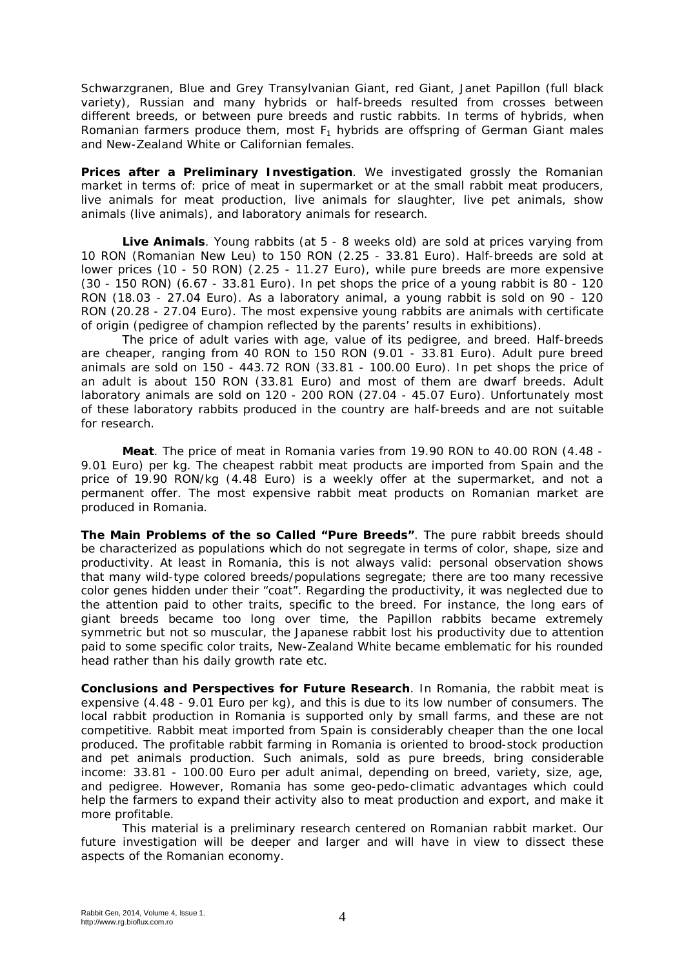Schwarzgranen, Blue and Grey Transylvanian Giant, red Giant, Janet Papillon (full black variety), Russian and many hybrids or half-breeds resulted from crosses between different breeds, or between pure breeds and rustic rabbits. In terms of hybrids, when Romanian farmers produce them, most  $F_1$  hybrids are offspring of German Giant males and New-Zealand White or Californian females.

**Prices after a Preliminary Investigation**. We investigated grossly the Romanian market in terms of: price of meat in supermarket or at the small rabbit meat producers, live animals for meat production, live animals for slaughter, live pet animals, show animals (live animals), and laboratory animals for research.

**Live Animals**. Young rabbits (at 5 - 8 weeks old) are sold at prices varying from 10 RON (Romanian New Leu) to 150 RON (2.25 - 33.81 Euro). Half-breeds are sold at lower prices (10 - 50 RON) (2.25 - 11.27 Euro), while pure breeds are more expensive (30 - 150 RON) (6.67 - 33.81 Euro). In pet shops the price of a young rabbit is 80 - 120 RON (18.03 - 27.04 Euro). As a laboratory animal, a young rabbit is sold on 90 - 120 RON (20.28 - 27.04 Euro). The most expensive young rabbits are animals with certificate of origin (pedigree of champion reflected by the parents' results in exhibitions).

The price of adult varies with age, value of its pedigree, and breed. Half-breeds are cheaper, ranging from 40 RON to 150 RON (9.01 - 33.81 Euro). Adult pure breed animals are sold on 150 - 443.72 RON (33.81 - 100.00 Euro). In pet shops the price of an adult is about 150 RON (33.81 Euro) and most of them are dwarf breeds. Adult laboratory animals are sold on 120 - 200 RON (27.04 - 45.07 Euro). Unfortunately most of these laboratory rabbits produced in the country are half-breeds and are not suitable for research.

**Meat**. The price of meat in Romania varies from 19.90 RON to 40.00 RON (4.48 - 9.01 Euro) per kg. The cheapest rabbit meat products are imported from Spain and the price of 19.90 RON/kg (4.48 Euro) is a weekly offer at the supermarket, and not a permanent offer. The most expensive rabbit meat products on Romanian market are produced in Romania.

**The Main Problems of the so Called "Pure Breeds"**. The pure rabbit breeds should be characterized as populations which do not segregate in terms of color, shape, size and productivity. At least in Romania, this is not always valid: personal observation shows that many wild-type colored breeds/populations segregate; there are too many recessive color genes hidden under their "coat". Regarding the productivity, it was neglected due to the attention paid to other traits, specific to the breed. For instance, the long ears of giant breeds became too long over time, the Papillon rabbits became extremely symmetric but not so muscular, the Japanese rabbit lost his productivity due to attention paid to some specific color traits, New-Zealand White became emblematic for his rounded head rather than his daily growth rate etc.

**Conclusions and Perspectives for Future Research**. In Romania, the rabbit meat is expensive (4.48 - 9.01 Euro per kg), and this is due to its low number of consumers. The local rabbit production in Romania is supported only by small farms, and these are not competitive. Rabbit meat imported from Spain is considerably cheaper than the one local produced. The profitable rabbit farming in Romania is oriented to brood-stock production and pet animals production. Such animals, sold as pure breeds, bring considerable income: 33.81 - 100.00 Euro per adult animal, depending on breed, variety, size, age, and pedigree. However, Romania has some geo-pedo-climatic advantages which could help the farmers to expand their activity also to meat production and export, and make it more profitable.

This material is a preliminary research centered on Romanian rabbit market. Our future investigation will be deeper and larger and will have in view to dissect these aspects of the Romanian economy.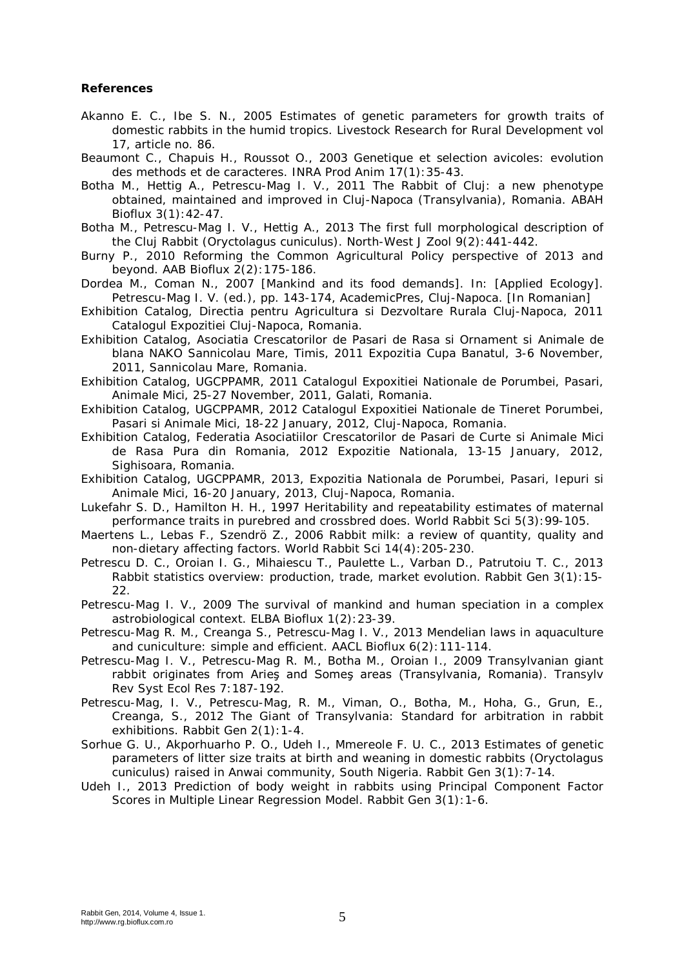## **References**

- Akanno E. C., Ibe S. N., 2005 Estimates of genetic parameters for growth traits of domestic rabbits in the humid tropics. Livestock Research for Rural Development vol 17, article no. 86.
- Beaumont C., Chapuis H., Roussot O., 2003 Genetique et selection avicoles: evolution des methods et de caracteres. INRA Prod Anim 17(1):35-43.
- Botha M., Hettig A., Petrescu-Mag I. V., 2011 The Rabbit of Cluj: a new phenotype obtained, maintained and improved in Cluj-Napoca (Transylvania), Romania. ABAH Bioflux 3(1):42-47.
- Botha M., Petrescu-Mag I. V., Hettig A., 2013 The first full morphological description of the Cluj Rabbit (*Oryctolagus cuniculus*). North-West J Zool 9(2):441-442.
- Burny P., 2010 Reforming the Common Agricultural Policy perspective of 2013 and beyond. AAB Bioflux 2(2):175-186.
- Dordea M., Coman N., 2007 [Mankind and its food demands]. In: [Applied Ecology]. Petrescu-Mag I. V. (ed.), pp. 143-174, AcademicPres, Cluj-Napoca. [In Romanian]
- Exhibition Catalog, Directia pentru Agricultura si Dezvoltare Rurala Cluj-Napoca, 2011 Catalogul Expozitiei Cluj-Napoca, Romania.
- Exhibition Catalog, Asociatia Crescatorilor de Pasari de Rasa si Ornament si Animale de blana NAKO Sannicolau Mare, Timis, 2011 Expozitia Cupa Banatul, 3-6 November, 2011, Sannicolau Mare, Romania.
- Exhibition Catalog, UGCPPAMR, 2011 Catalogul Expoxitiei Nationale de Porumbei, Pasari, Animale Mici, 25-27 November, 2011, Galati, Romania.
- Exhibition Catalog, UGCPPAMR, 2012 Catalogul Expoxitiei Nationale de Tineret Porumbei, Pasari si Animale Mici, 18-22 January, 2012, Cluj-Napoca, Romania.
- Exhibition Catalog, Federatia Asociatiilor Crescatorilor de Pasari de Curte si Animale Mici de Rasa Pura din Romania, 2012 Expozitie Nationala, 13-15 January, 2012, Sighisoara, Romania.
- Exhibition Catalog, UGCPPAMR, 2013, Expozitia Nationala de Porumbei, Pasari, Iepuri si Animale Mici, 16-20 January, 2013, Cluj-Napoca, Romania.
- Lukefahr S. D., Hamilton H. H., 1997 Heritability and repeatability estimates of maternal performance traits in purebred and crossbred does. World Rabbit Sci 5(3):99-105.
- Maertens L., Lebas F., Szendrö Z., 2006 Rabbit milk: a review of quantity, quality and non-dietary affecting factors. World Rabbit Sci 14(4):205-230.
- Petrescu D. C., Oroian I. G., Mihaiescu T., Paulette L., Varban D., Patrutoiu T. C., 2013 Rabbit statistics overview: production, trade, market evolution. Rabbit Gen 3(1):15-  $22.$
- Petrescu-Mag I. V., 2009 The survival of mankind and human speciation in a complex astrobiological context. ELBA Bioflux 1(2):23-39.
- Petrescu-Mag R. M., Creanga S., Petrescu-Mag I. V., 2013 Mendelian laws in aquaculture and cuniculture: simple and efficient. AACL Bioflux 6(2):111-114.
- Petrescu-Mag I. V., Petrescu-Mag R. M., Botha M., Oroian I., 2009 Transylvanian giant rabbit originates from Arieş and Someş areas (Transylvania, Romania). Transylv Rev Syst Ecol Res 7:187-192.
- Petrescu-Mag, I. V., Petrescu-Mag, R. M., Viman, O., Botha, M., Hoha, G., Grun, E., Creanga, S., 2012 The Giant of Transylvania: Standard for arbitration in rabbit exhibitions. Rabbit Gen 2(1):1-4.
- Sorhue G. U., Akporhuarho P. O., Udeh I., Mmereole F. U. C., 2013 Estimates of genetic parameters of litter size traits at birth and weaning in domestic rabbits (*Oryctolagus cuniculus*) raised in Anwai community, South Nigeria. Rabbit Gen 3(1):7-14.
- Udeh I., 2013 Prediction of body weight in rabbits using Principal Component Factor Scores in Multiple Linear Regression Model. Rabbit Gen 3(1):1-6.